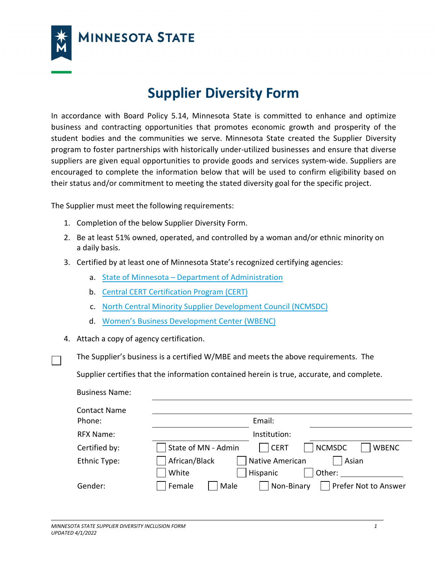

**MINNESOTA STATE** 

## **Supplier Diversity Form**

In accordance with Board Policy 5.14, Minnesota State is committed to enhance and optimize business and contracting opportunities that promotes economic growth and prosperity of the student bodies and the communities we serve. Minnesota State created the Supplier Diversity program to foster partnerships with historically under-utilized businesses and ensure that diverse suppliers are given equal opportunities to provide goods and services system-wide. Suppliers are encouraged to complete the information below that will be used to confirm eligibility based on their status and/or commitment to meeting the stated diversity goal for the specific project.

The Supplier must meet the following requirements:

- 1. Completion of the below Supplier Diversity Form.
- 2. Be at least 51% owned, operated, and controlled by a woman and/or ethnic minority on a daily basis.
- 3. Certified by at least one of Minnesota State's recognized certifying agencies:
	- a. State of Minnesota  [Department of Administration](http://www.mmd.admin.state.mn.us/tgeligibility.htm)
	- b. [Central CERT Certification Program](https://www.stpaul.gov/departments/human-rights-equal-economic-opportunity/contract-compliance-business-development-9) (CERT)
	- c. [North Central Minority Supplier](http://www.northcentralmsdc.net/) Development Council (NCMSDC)
	- d. Women's Business [Development Center](https://www.wbdc.org/mn/) (WBENC)
- 4. Attach a copy of agency certification.
	- The Supplier's business is a certified W/MBE and meets the above requirements. The

Supplier certifies that the information contained herein is true, accurate, and complete.

| <b>Business Name:</b>         |                                                                     |
|-------------------------------|---------------------------------------------------------------------|
| <b>Contact Name</b><br>Phone: | Email:                                                              |
| RFX Name:                     | Institution:                                                        |
| Certified by:                 | <b>CERT</b><br><b>NCMSDC</b><br>State of MN - Admin<br><b>WBENC</b> |
| Ethnic Type:                  | Native American<br>African/Black<br>Asian                           |
|                               | White<br>Hispanic<br>Other:                                         |
| Gender:                       | Prefer Not to Answer<br>Non-Binary<br>Female<br>Male                |